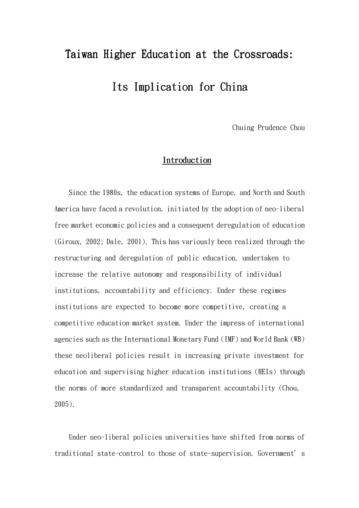## Taiwan Higher Education at the Crossroads: Its Implication for China

Chuing Prudence Chou

## Introduction

Since the 1980s, the education systems of Europe, and North and South America have faced a revolution, initiated by the adoption of neo-liberal free market economic policies and a consequent deregulation of education (Giroux, 2002; Dale, 2001). This has variously been realized through the restructuring and deregulation of public education, undertaken to increase the relative autonomy and responsibility of individual institutions, accountability and efficiency. Under these regimes institutions are expected to become more competitive, creating a competitive education market system. Under the impress of international agencies such as the International Monetary Fund (IMF) and World Bank (WB) these neoliberal policies result in increasing private investment for education and supervising higher education institutions (HEIs) through the norms of more standardized and transparent accountability (Chou, 2005).

Under neo-liberal policies universities have shifted from norms of traditional state-control to those of state-supervision. Government's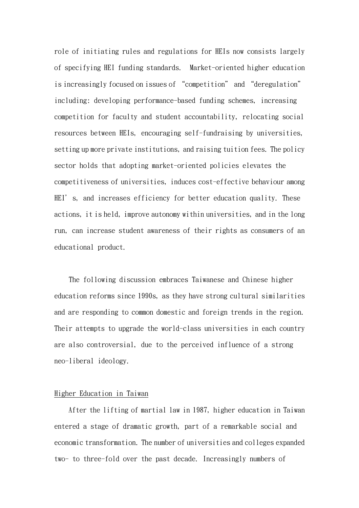role of initiating rules and regulations for HEIs now consists largely of specifying HEI funding standards. Market-oriented higher education is increasingly focused on issues of "competition" and "deregulation" including: developing performance-based funding schemes, increasing competition for faculty and student accountability, relocating social resources between HEIs, encouraging self-fundraising by universities, setting up more private institutions, and raising tuition fees. The policy sector holds that adopting market-oriented policies elevates the competitiveness of universities, induces cost-effective behaviour among HEI's, and increases efficiency for better education quality. These actions, it is held, improve autonomy within universities, and in the long run, can increase student awareness of their rights as consumers of an educational product.

The following discussion embraces Taiwanese and Chinese higher education reforms since 1990s, as they have strong cultural similarities and are responding to common domestic and foreign trends in the region. Their attempts to upgrade the world-class universities in each country are also controversial, due to the perceived influence of a strong neo-liberal ideology.

## Higher Education in Taiwan

After the lifting of martial law in 1987, higher education in Taiwan entered a stage of dramatic growth, part of a remarkable social and economic transformation. The number of universities and colleges expanded two- to three-fold over the past decade. Increasingly numbers of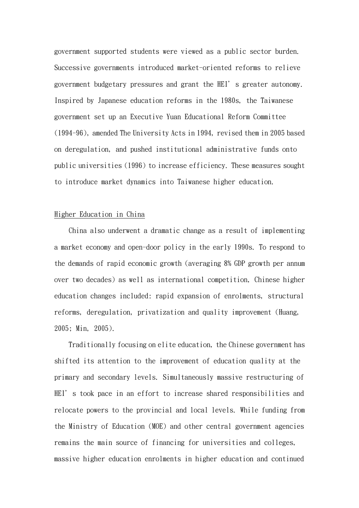government supported students were viewed as a public sector burden. Successive governments introduced market-oriented reforms to relieve government budgetary pressures and grant the HEI's greater autonomy. Inspired by Japanese education reforms in the 1980s, the Taiwanese government set up an Executive Yuan Educational Reform Committee (1994-96), amended The University Acts in 1994, revised them in 2005 based on deregulation, and pushed institutional administrative funds onto public universities (1996) to increase efficiency. These measures sought to introduce market dynamics into Taiwanese higher education.

## Higher Education in China

China also underwent a dramatic change as a result of implementing a market economy and open-door policy in the early 1990s. To respond to the demands of rapid economic growth (averaging 8% GDP growth per annum over two decades) as well as international competition, Chinese higher education changes included: rapid expansion of enrolments, structural reforms, deregulation, privatization and quality improvement (Huang, 2005; Min, 2005).

Traditionally focusing on elite education, the Chinese government has shifted its attention to the improvement of education quality at the primary and secondary levels. Simultaneously massive restructuring of HEI's took pace in an effort to increase shared responsibilities and relocate powers to the provincial and local levels. While funding from the Ministry of Education (MOE) and other central government agencies remains the main source of financing for universities and colleges, massive higher education enrolments in higher education and continued